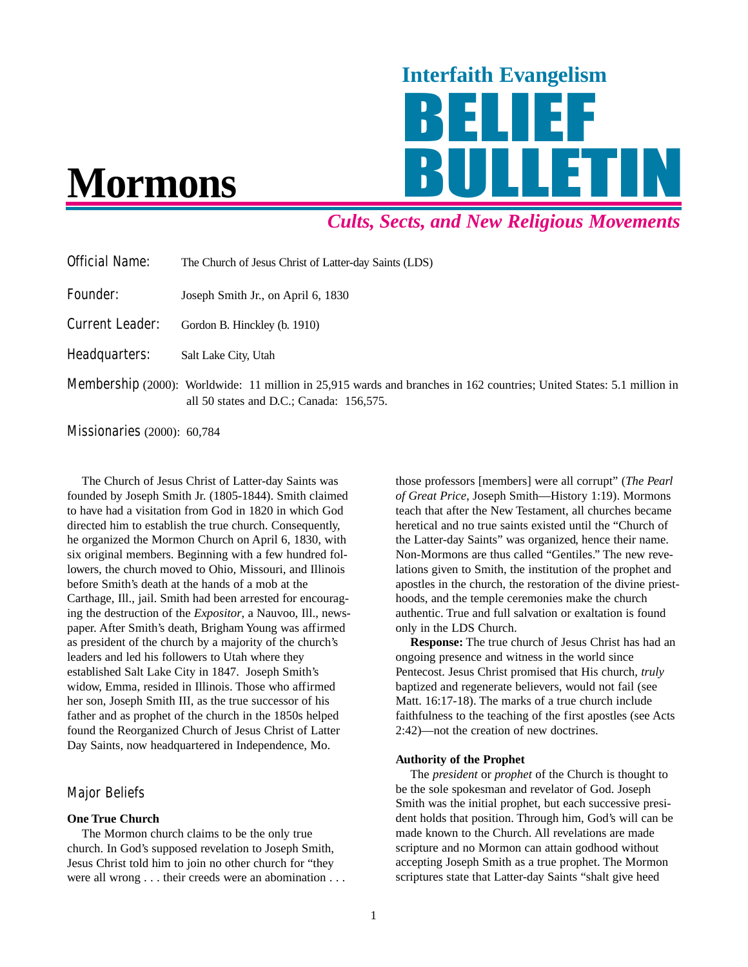# Interfaith Evangelism **Mormons** BULLETIN

## *Cults, Sects, and New Religious Movements*

| <b>Official Name:</b>  | The Church of Jesus Christ of Latter-day Saints (LDS)                |
|------------------------|----------------------------------------------------------------------|
| Founder:               | Joseph Smith Jr., on April 6, 1830                                   |
| <b>Current Leader:</b> | Gordon B. Hinckley (b. 1910)                                         |
| Headquarters:          | Salt Lake City, Utah                                                 |
|                        | Membership (2000): Worldwide: 11 million in 25,915 wards and branche |

es in 162 countries; United States: 5.1 million in all 50 states and D.C.; Canada: 156,575.

**Missionaries** (2000): 60,784

The Church of Jesus Christ of Latter-day Saints was founded by Joseph Smith Jr. (1805-1844). Smith claimed to have had a visitation from God in 1820 in which God directed him to establish the true church. Consequently, he organized the Mormon Church on April 6, 1830, with six original members. Beginning with a few hundred followers, the church moved to Ohio, Missouri, and Illinois before Smith's death at the hands of a mob at the Carthage, Ill., jail. Smith had been arrested for encouraging the destruction of the *Expositor*, a Nauvoo, Ill., newspaper. After Smith's death, Brigham Young was affirmed as president of the church by a majority of the church's leaders and led his followers to Utah where they established Salt Lake City in 1847. Joseph Smith's widow, Emma, resided in Illinois. Those who affirmed her son, Joseph Smith III, as the true successor of his father and as prophet of the church in the 1850s helped found the Reorganized Church of Jesus Christ of Latter Day Saints, now headquartered in Independence, Mo.

#### Major Beliefs

#### **One True Church**

The Mormon church claims to be the only true church. In God's supposed revelation to Joseph Smith, Jesus Christ told him to join no other church for "they were all wrong . . . their creeds were an abomination . . .

those professors [members] were all corrupt" (*The Pearl of Great Price*, Joseph Smith—History 1:19). Mormons teach that after the New Testament, all churches became heretical and no true saints existed until the "Church of the Latter-day Saints" was organized, hence their name. Non-Mormons are thus called "Gentiles." The new revelations given to Smith, the institution of the prophet and apostles in the church, the restoration of the divine priesthoods, and the temple ceremonies make the church authentic. True and full salvation or exaltation is found only in the LDS Church.

**Response:** The true church of Jesus Christ has had an ongoing presence and witness in the world since Pentecost. Jesus Christ promised that His church, *truly* baptized and regenerate believers, would not fail (see Matt. 16:17-18). The marks of a true church include faithfulness to the teaching of the first apostles (see Acts 2:42)—not the creation of new doctrines.

#### **Authority of the Prophet**

The *president* or *prophet* of the Church is thought to be the sole spokesman and revelator of God. Joseph Smith was the initial prophet, but each successive president holds that position. Through him, God's will can be made known to the Church. All revelations are made scripture and no Mormon can attain godhood without accepting Joseph Smith as a true prophet. The Mormon scriptures state that Latter-day Saints "shalt give heed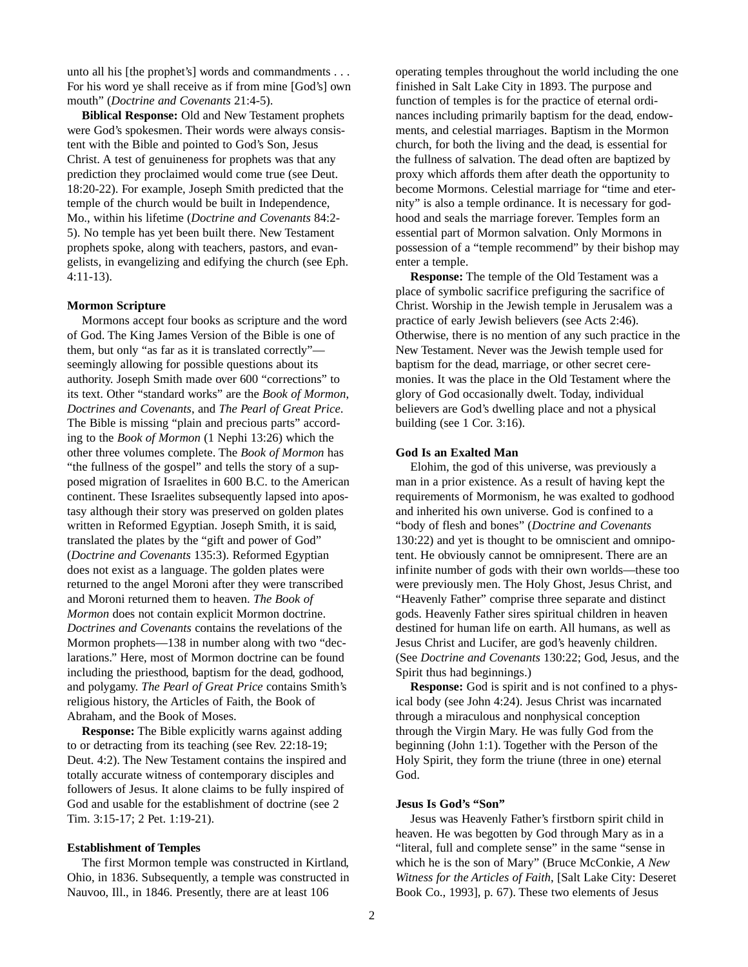unto all his [the prophet's] words and commandments . . . For his word ye shall receive as if from mine [God's] own mouth" (*Doctrine and Covenants* 21:4-5).

**Biblical Response:** Old and New Testament prophets were God's spokesmen. Their words were always consistent with the Bible and pointed to God's Son, Jesus Christ. A test of genuineness for prophets was that any prediction they proclaimed would come true (see Deut. 18:20-22). For example, Joseph Smith predicted that the temple of the church would be built in Independence, Mo., within his lifetime (*Doctrine and Covenants* 84:2- 5). No temple has yet been built there. New Testament prophets spoke, along with teachers, pastors, and evangelists, in evangelizing and edifying the church (see Eph. 4:11-13).

#### **Mormon Scripture**

Mormons accept four books as scripture and the word of God. The King James Version of the Bible is one of them, but only "as far as it is translated correctly" seemingly allowing for possible questions about its authority. Joseph Smith made over 600 "corrections" to its text. Other "standard works" are the *Book of Mormon*, *Doctrines and Covenants*, and *The Pearl of Great Price*. The Bible is missing "plain and precious parts" according to the *Book of Mormon* (1 Nephi 13:26) which the other three volumes complete. The *Book of Mormon* has "the fullness of the gospel" and tells the story of a supposed migration of Israelites in 600 B.C. to the American continent. These Israelites subsequently lapsed into apostasy although their story was preserved on golden plates written in Reformed Egyptian. Joseph Smith, it is said, translated the plates by the "gift and power of God" (*Doctrine and Covenants* 135:3). Reformed Egyptian does not exist as a language. The golden plates were returned to the angel Moroni after they were transcribed and Moroni returned them to heaven. *The Book of Mormon* does not contain explicit Mormon doctrine. *Doctrines and Covenants* contains the revelations of the Mormon prophets—138 in number along with two "declarations." Here, most of Mormon doctrine can be found including the priesthood, baptism for the dead, godhood, and polygamy. *The Pearl of Great Price* contains Smith's religious history, the Articles of Faith, the Book of Abraham, and the Book of Moses.

**Response:** The Bible explicitly warns against adding to or detracting from its teaching (see Rev. 22:18-19; Deut. 4:2). The New Testament contains the inspired and totally accurate witness of contemporary disciples and followers of Jesus. It alone claims to be fully inspired of God and usable for the establishment of doctrine (see 2 Tim. 3:15-17; 2 Pet. 1:19-21).

#### **Establishment of Temples**

The first Mormon temple was constructed in Kirtland, Ohio, in 1836. Subsequently, a temple was constructed in Nauvoo, Ill., in 1846. Presently, there are at least 106

operating temples throughout the world including the one finished in Salt Lake City in 1893. The purpose and function of temples is for the practice of eternal ordinances including primarily baptism for the dead, endowments, and celestial marriages. Baptism in the Mormon church, for both the living and the dead, is essential for the fullness of salvation. The dead often are baptized by proxy which affords them after death the opportunity to become Mormons. Celestial marriage for "time and eternity" is also a temple ordinance. It is necessary for godhood and seals the marriage forever. Temples form an essential part of Mormon salvation. Only Mormons in possession of a "temple recommend" by their bishop may enter a temple.

**Response:** The temple of the Old Testament was a place of symbolic sacrifice prefiguring the sacrifice of Christ. Worship in the Jewish temple in Jerusalem was a practice of early Jewish believers (see Acts 2:46). Otherwise, there is no mention of any such practice in the New Testament. Never was the Jewish temple used for baptism for the dead, marriage, or other secret ceremonies. It was the place in the Old Testament where the glory of God occasionally dwelt. Today, individual believers are God's dwelling place and not a physical building (see 1 Cor. 3:16).

#### **God Is an Exalted Man**

Elohim, the god of this universe, was previously a man in a prior existence. As a result of having kept the requirements of Mormonism, he was exalted to godhood and inherited his own universe. God is confined to a "body of flesh and bones" (*Doctrine and Covenants* 130:22) and yet is thought to be omniscient and omnipotent. He obviously cannot be omnipresent. There are an infinite number of gods with their own worlds—these too were previously men. The Holy Ghost, Jesus Christ, and "Heavenly Father" comprise three separate and distinct gods. Heavenly Father sires spiritual children in heaven destined for human life on earth. All humans, as well as Jesus Christ and Lucifer, are god's heavenly children. (See *Doctrine and Covenants* 130:22; God, Jesus, and the Spirit thus had beginnings.)

**Response:** God is spirit and is not confined to a physical body (see John 4:24). Jesus Christ was incarnated through a miraculous and nonphysical conception through the Virgin Mary. He was fully God from the beginning (John 1:1). Together with the Person of the Holy Spirit, they form the triune (three in one) eternal God.

#### **Jesus Is God's "Son"**

Jesus was Heavenly Father's firstborn spirit child in heaven. He was begotten by God through Mary as in a "literal, full and complete sense" in the same "sense in which he is the son of Mary" (Bruce McConkie, *A New Witness for the Articles of Faith*, [Salt Lake City: Deseret Book Co., 1993], p. 67). These two elements of Jesus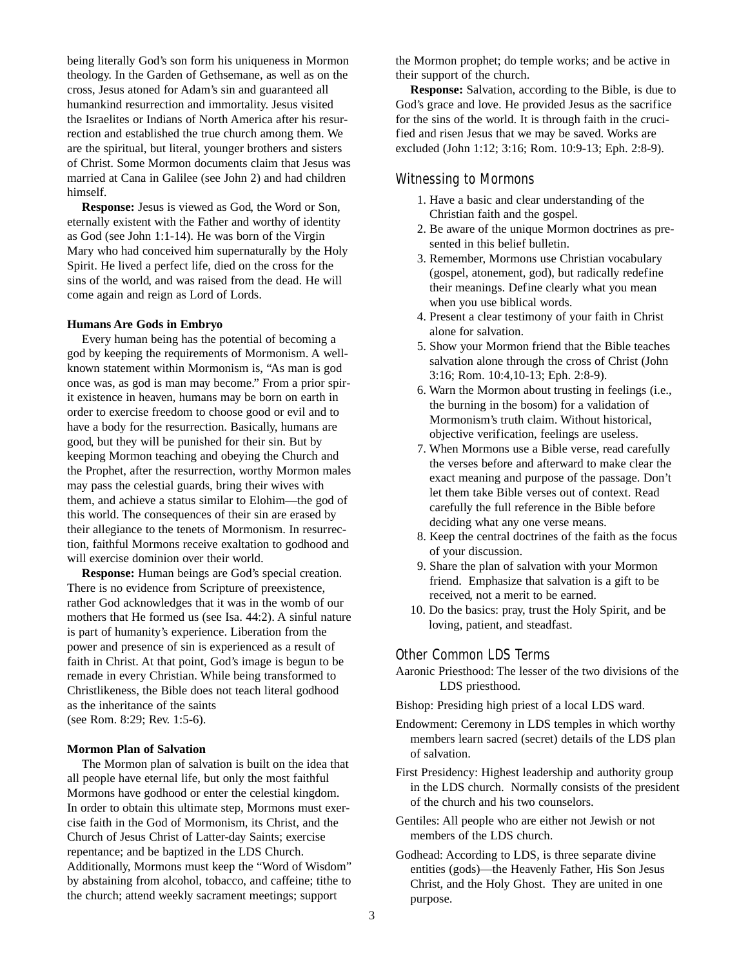being literally God's son form his uniqueness in Mormon theology. In the Garden of Gethsemane, as well as on the cross, Jesus atoned for Adam's sin and guaranteed all humankind resurrection and immortality. Jesus visited the Israelites or Indians of North America after his resurrection and established the true church among them. We are the spiritual, but literal, younger brothers and sisters of Christ. Some Mormon documents claim that Jesus was married at Cana in Galilee (see John 2) and had children himself.

**Response:** Jesus is viewed as God, the Word or Son, eternally existent with the Father and worthy of identity as God (see John 1:1-14). He was born of the Virgin Mary who had conceived him supernaturally by the Holy Spirit. He lived a perfect life, died on the cross for the sins of the world, and was raised from the dead. He will come again and reign as Lord of Lords.

#### **Humans Are Gods in Embryo**

Every human being has the potential of becoming a god by keeping the requirements of Mormonism. A wellknown statement within Mormonism is, "As man is god once was, as god is man may become." From a prior spirit existence in heaven, humans may be born on earth in order to exercise freedom to choose good or evil and to have a body for the resurrection. Basically, humans are good, but they will be punished for their sin. But by keeping Mormon teaching and obeying the Church and the Prophet, after the resurrection, worthy Mormon males may pass the celestial guards, bring their wives with them, and achieve a status similar to Elohim—the god of this world. The consequences of their sin are erased by their allegiance to the tenets of Mormonism. In resurrection, faithful Mormons receive exaltation to godhood and will exercise dominion over their world.

**Response:** Human beings are God's special creation. There is no evidence from Scripture of preexistence, rather God acknowledges that it was in the womb of our mothers that He formed us (see Isa. 44:2). A sinful nature is part of humanity's experience. Liberation from the power and presence of sin is experienced as a result of faith in Christ. At that point, God's image is begun to be remade in every Christian. While being transformed to Christlikeness, the Bible does not teach literal godhood as the inheritance of the saints (see Rom. 8:29; Rev. 1:5-6).

#### **Mormon Plan of Salvation**

The Mormon plan of salvation is built on the idea that all people have eternal life, but only the most faithful Mormons have godhood or enter the celestial kingdom. In order to obtain this ultimate step, Mormons must exercise faith in the God of Mormonism, its Christ, and the Church of Jesus Christ of Latter-day Saints; exercise repentance; and be baptized in the LDS Church. Additionally, Mormons must keep the "Word of Wisdom" by abstaining from alcohol, tobacco, and caffeine; tithe to the church; attend weekly sacrament meetings; support

the Mormon prophet; do temple works; and be active in their support of the church.

**Response:** Salvation, according to the Bible, is due to God's grace and love. He provided Jesus as the sacrifice for the sins of the world. It is through faith in the crucified and risen Jesus that we may be saved. Works are excluded (John 1:12; 3:16; Rom. 10:9-13; Eph. 2:8-9).

#### Witnessing to Mormons

- 1. Have a basic and clear understanding of the Christian faith and the gospel.
- 2. Be aware of the unique Mormon doctrines as presented in this belief bulletin.
- 3. Remember, Mormons use Christian vocabulary (gospel, atonement, god), but radically redefine their meanings. Define clearly what you mean when you use biblical words.
- 4. Present a clear testimony of your faith in Christ alone for salvation.
- 5. Show your Mormon friend that the Bible teaches salvation alone through the cross of Christ (John 3:16; Rom. 10:4,10-13; Eph. 2:8-9).
- 6. Warn the Mormon about trusting in feelings (i.e., the burning in the bosom) for a validation of Mormonism's truth claim. Without historical, objective verification, feelings are useless.
- 7. When Mormons use a Bible verse, read carefully the verses before and afterward to make clear the exact meaning and purpose of the passage. Don't let them take Bible verses out of context. Read carefully the full reference in the Bible before deciding what any one verse means.
- 8. Keep the central doctrines of the faith as the focus of your discussion.
- 9. Share the plan of salvation with your Mormon friend. Emphasize that salvation is a gift to be received, not a merit to be earned.
- 10. Do the basics: pray, trust the Holy Spirit, and be loving, patient, and steadfast.

#### Other Common LDS Terms

- Aaronic Priesthood: The lesser of the two divisions of the LDS priesthood.
- Bishop: Presiding high priest of a local LDS ward.
- Endowment: Ceremony in LDS temples in which worthy members learn sacred (secret) details of the LDS plan of salvation.
- First Presidency: Highest leadership and authority group in the LDS church. Normally consists of the president of the church and his two counselors.
- Gentiles: All people who are either not Jewish or not members of the LDS church.
- Godhead: According to LDS, is three separate divine entities (gods)—the Heavenly Father, His Son Jesus Christ, and the Holy Ghost. They are united in one purpose.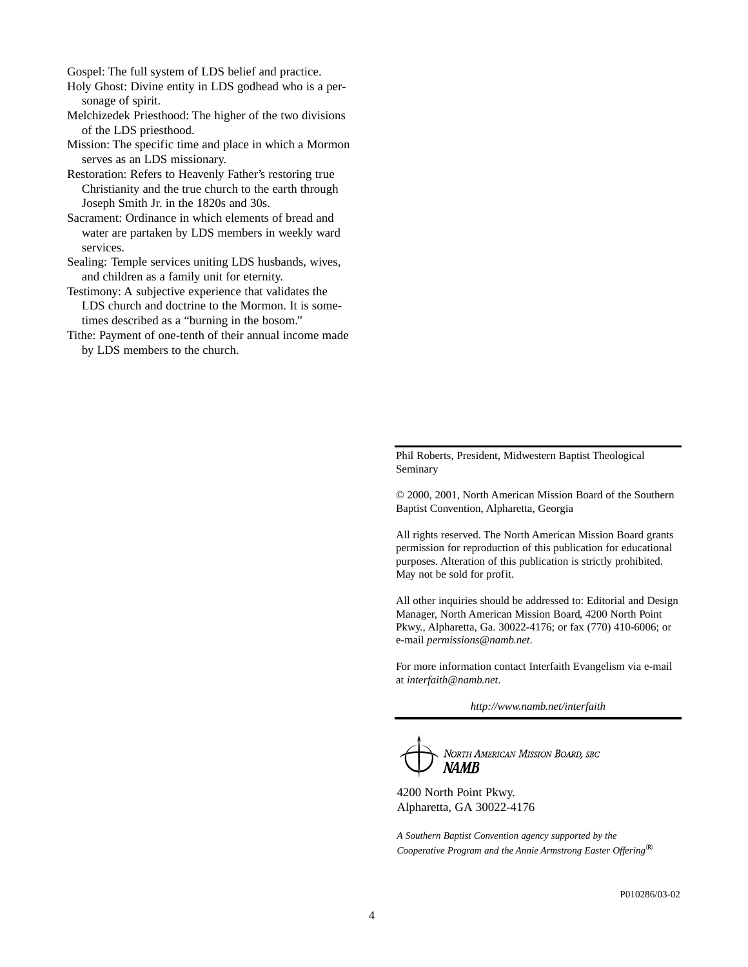Gospel: The full system of LDS belief and practice.

Holy Ghost: Divine entity in LDS godhead who is a personage of spirit.

Melchizedek Priesthood: The higher of the two divisions of the LDS priesthood.

Mission: The specific time and place in which a Mormon serves as an LDS missionary.

Restoration: Refers to Heavenly Father's restoring true Christianity and the true church to the earth through Joseph Smith Jr. in the 1820s and 30s.

Sacrament: Ordinance in which elements of bread and water are partaken by LDS members in weekly ward services.

Sealing: Temple services uniting LDS husbands, wives, and children as a family unit for eternity.

Testimony: A subjective experience that validates the LDS church and doctrine to the Mormon. It is sometimes described as a "burning in the bosom."

Tithe: Payment of one-tenth of their annual income made by LDS members to the church.

> Phil Roberts, President, Midwestern Baptist Theological Seminary

© 2000, 2001, North American Mission Board of the Southern Baptist Convention, Alpharetta, Georgia

All rights reserved. The North American Mission Board grants permission for reproduction of this publication for educational purposes. Alteration of this publication is strictly prohibited. May not be sold for profit.

All other inquiries should be addressed to: Editorial and Design Manager, North American Mission Board, 4200 North Point Pkwy., Alpharetta, Ga. 30022-4176; or fax (770) 410-6006; or e-mail *permissions@namb.net*.

For more information contact Interfaith Evangelism via e-mail at *interfaith@namb.net*.

*http://www.namb.net/interfaith*

NORTH AMERICAN MISSION BOARD, SBC **NAMB** 

4200 North Point Pkwy. Alpharetta, GA 30022-4176

*A Southern Baptist Convention agency supported by the Cooperative Program and the Annie Armstrong Easter Offering®*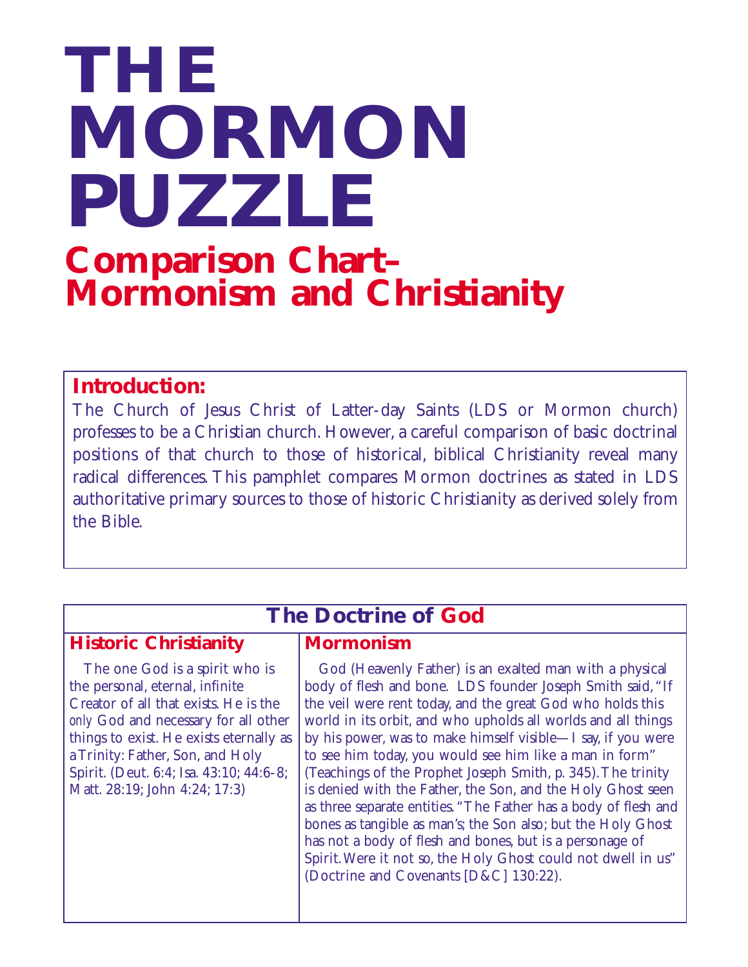## **THE MORMON PUZZLE Comparison Chart– Mormonism and Christianity**

## **Introduction:**

The Church of Jesus Christ of Latter-day Saints (LDS or Mormon church) professes to be a Christian church. However, a careful comparison of basic doctrinal positions of that church to those of historical, biblical Christianity reveal many radical differences. This pamphlet compares Mormon doctrines as stated in LDS authoritative primary sources to those of historic Christianity as derived solely from the Bible.

## **Historic Christianity**

The one God is a spirit who is the personal, eternal, infinite Creator of all that exists. He is the *only* God and necessary for all other things to exist. He exists eternally as a Trinity: Father, Son, and Holy Spirit. (Deut. 6:4; Isa. 43:10; 44:6-8; Matt. 28:19; John 4:24; 17:3)

## **The Doctrine of God**

## **Mormonism**

God (Heavenly Father) is an exalted man with a physical body of flesh and bone. LDS founder Joseph Smith said,"If the veil were rent today, and the great God who holds this world in its orbit, and who upholds all worlds and all things by his power, was to make himself visible—I say, if you were to see him today, you would see him like a man in form" (Teachings of the Prophet Joseph Smith, p. 345).The trinity is denied with the Father, the Son, and the Holy Ghost seen as three separate entities."The Father has a body of flesh and bones as tangible as man's; the Son also; but the Holy Ghost has not a body of flesh and bones, but is a personage of Spirit.Were it not so, the Holy Ghost could not dwell in us" (Doctrine and Covenants [D&C] 130:22).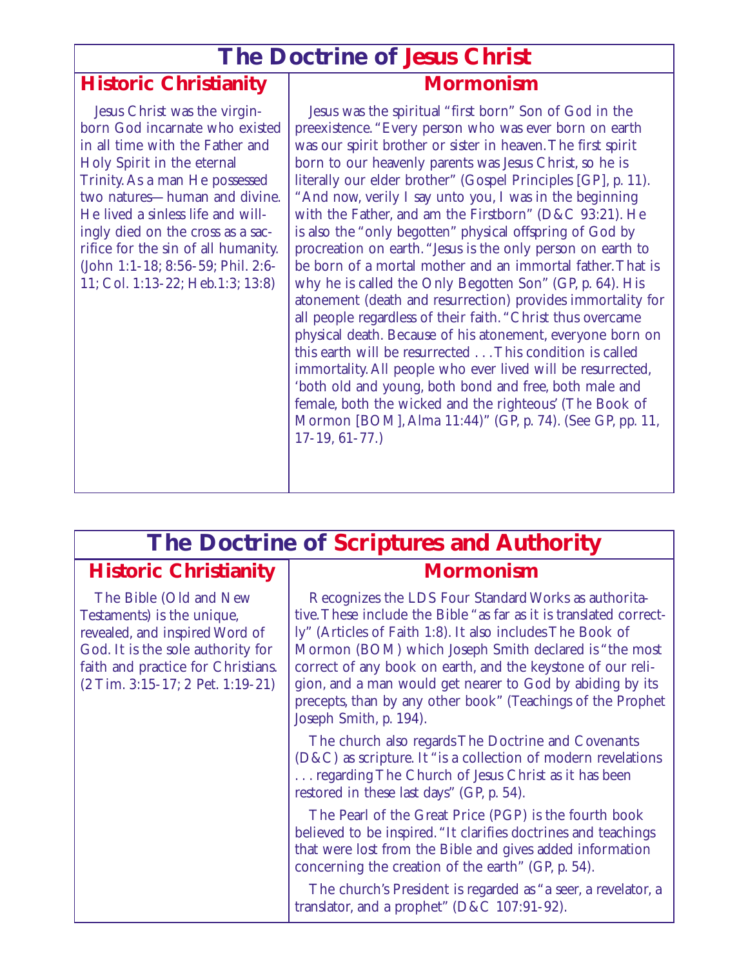#### **Historic Christianity Mormonism The Doctrine of Jesus Christ**

Jesus Christ was the virginborn God incarnate who existed in all time with the Father and Holy Spirit in the eternal Trinity.As a man He possessed two natures—human and divine. He lived a sinless life and willingly died on the cross as a sacrifice for the sin of all humanity. (John 1:1-18; 8:56-59; Phil. 2:6- 11; Col. 1:13-22; Heb.1:3; 13:8)

Jesus was the spiritual "first born" Son of God in the preexistence."Every person who was ever born on earth was our spirit brother or sister in heaven.The first spirit born to our heavenly parents was Jesus Christ, so he is literally our elder brother" (Gospel Principles [GP], p. 11). "And now, verily I say unto you, I was in the beginning with the Father, and am the Firstborn" (D&C 93:21). He is also the "only begotten" physical offspring of God by procreation on earth."Jesus is the only person on earth to be born of a mortal mother and an immortal father.That is why he is called the Only Begotten Son" (GP, p. 64). His atonement (death and resurrection) provides immortality for all people regardless of their faith."Christ thus overcame physical death. Because of his atonement, everyone born on this earth will be resurrected . . .This condition is called immortality.All people who ever lived will be resurrected, 'both old and young, both bond and free, both male and female, both the wicked and the righteous' (The Book of Mormon [BOM],Alma 11:44)" (GP, p. 74). (See GP, pp. 11, 17-19, 61-77.)

### **Historic Christianity The Doctrine of Scriptures and Authority Mormonism**

The Bible (Old and New Testaments) is the unique, revealed, and inspired Word of God. It is the sole authority for faith and practice for Christians. (2 Tim. 3:15-17; 2 Pet. 1:19-21)

Recognizes the LDS Four Standard Works as authoritative.These include the Bible "as far as it is translated correctly" (Articles of Faith 1:8). It also includes The Book of Mormon (BOM) which Joseph Smith declared is "the most correct of any book on earth, and the keystone of our religion, and a man would get nearer to God by abiding by its precepts, than by any other book" (Teachings of the Prophet Joseph Smith, p. 194).

The church also regards The Doctrine and Covenants (D&C) as scripture. It "is a collection of modern revelations ... regarding The Church of Jesus Christ as it has been restored in these last days" (GP, p. 54).

The Pearl of the Great Price (PGP) is the fourth book believed to be inspired."It clarifies doctrines and teachings that were lost from the Bible and gives added information concerning the creation of the earth" (GP, p. 54).

The church's President is regarded as "a seer, a revelator, a translator, and a prophet" (D&C 107:91-92).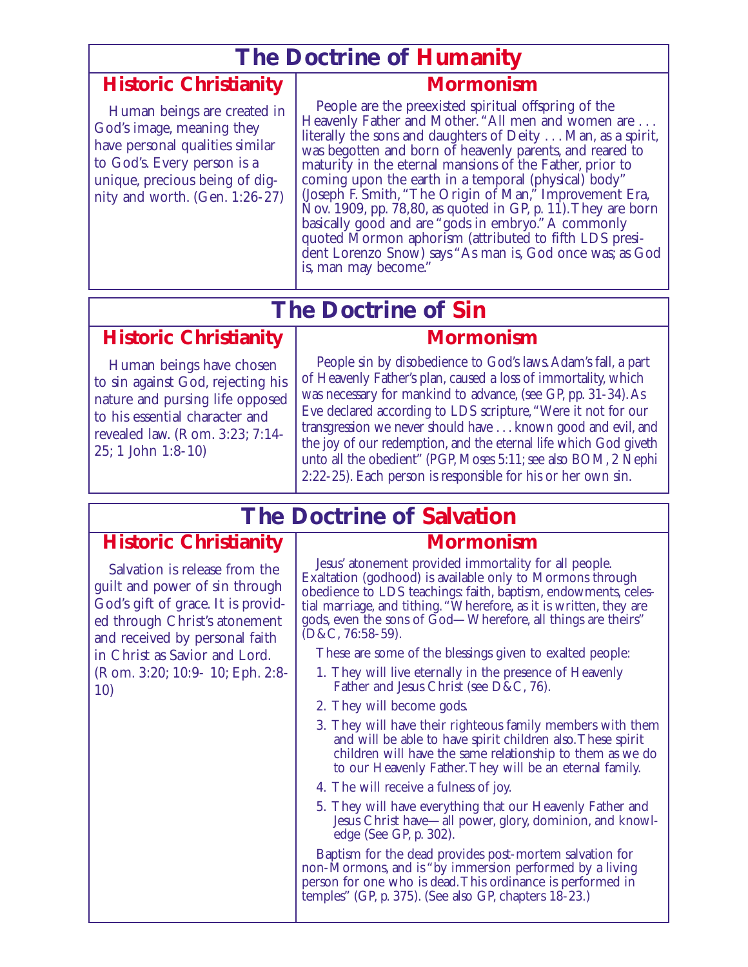## **The Doctrine of Humanity**

## **Historic Christianity**

Human beings are created in God's image, meaning they have personal qualities similar to God's. Every person is a unique, precious being of dignity and worth. (Gen. 1:26-27)

## **Mormonism**

People are the preexisted spiritual offspring of the Heavenly Father and Mother. "All men and women are ... literally the sons and daughters of Deity . . . Man, as a spirit, was begotten and born of heavenly parents, and reared to maturity in the eternal mansions of the Father, prior to coming upon the earth in a temporal (physical) body" (Joseph F. Smith,"The Origin of Man," Improvement Era, Nov. 1909, pp. 78,80, as quoted in GP, p. 11).They are born basically good and are "gods in embryo."A commonly quoted Mormon aphorism (attributed to fifth LDS president Lorenzo Snow) says "As man is, God once was; as God is, man may become."

## **The Doctrine of Sin**

## **Historic Christianity**

## **Mormonism**

Human beings have chosen to sin against God, rejecting his nature and pursing life opposed to his essential character and revealed law. (Rom. 3:23; 7:14- 25; 1 John 1:8-10)

People sin by disobedience to God's laws. Adam's fall, a part of Heavenly Father's plan, caused a loss of immortality, which was necessary for mankind to advance, (see GP, pp. 31-34).As Eve declared according to LDS scripture,"Were it not for our transgression we never should have . . . known good and evil, and the joy of our redemption, and the eternal life which God giveth unto all the obedient" (PGP, Moses 5:11; see also BOM, 2 Nephi 2:22-25). Each person is responsible for his or her own sin.

## **The Doctrine of Salvation**

## **Historic Christianity**

Salvation is release from the guilt and power of sin through God's gift of grace. It is provided through Christ's atonement and received by personal faith in Christ as Savior and Lord. (Rom. 3:20; 10:9- 10; Eph. 2:8- 10)

## **Mormonism**

Jesus'atonement provided immortality for all people. Exaltation (godhood) is available only to Mormons through obedience to LDS teachings: faith, baptism, endowments, celestial marriage, and tithing."Wherefore, as it is written, they are gods, even the sons of God—Wherefore, all things are theirs" (D&C, 76:58-59).

These are some of the blessings given to exalted people:

- 1. They will live eternally in the presence of Heavenly Father and Jesus Christ (see D&C, 76).
- 2. They will become gods.
- 3. They will have their righteous family members with them and will be able to have spirit children also.These spirit children will have the same relationship to them as we do to our Heavenly Father.They will be an eternal family.
- 4. The will receive a fulness of joy.
- 5. They will have everything that our Heavenly Father and Jesus Christ have—all power, glory, dominion, and knowledge (See GP, p. 302).

Baptism for the dead provides post-mortem salvation for non-Mormons, and is "by immersion performed by a living person for one who is dead.This ordinance is performed in temples" (GP, p. 375). (See also GP, chapters 18-23.)